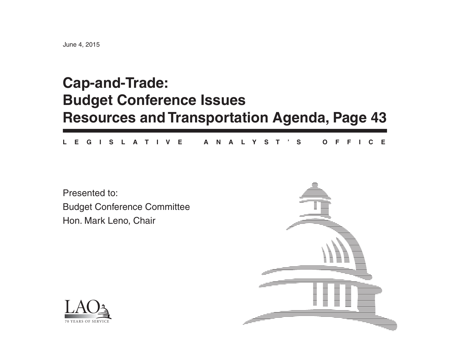# **Cap-and-Trade: Budget Conference Issues Resources and Transportation Agenda, Page 43**

**L E G I S L A T I V E A N A L Y S T ' S O F F I C E**

Presented to:Budget Conference Committee Hon. Mark Leno, Chair



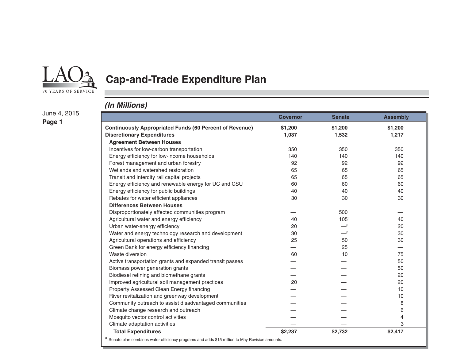

## **Cap-and-Trade Expenditure Plan**

#### *(In Millions)*

June 4, 2015 **Page 1**

|                                                                                                            | <b>Governor</b> | <b>Senate</b>    | <b>Assembly</b> |
|------------------------------------------------------------------------------------------------------------|-----------------|------------------|-----------------|
| <b>Continuously Appropriated Funds (60 Percent of Revenue)</b>                                             | \$1,200         | \$1,200          | \$1,200         |
| <b>Discretionary Expenditures</b>                                                                          | 1,037           | 1,532            | 1,217           |
| <b>Agreement Between Houses</b>                                                                            |                 |                  |                 |
| Incentives for low-carbon transportation                                                                   | 350             | 350              | 350             |
| Energy efficiency for low-income households                                                                | 140             | 140              | 140             |
| Forest management and urban forestry                                                                       | 92              | 92               | 92              |
| Wetlands and watershed restoration                                                                         | 65              | 65               | 65              |
| Transit and intercity rail capital projects                                                                | 65              | 65               | 65              |
| Energy efficiency and renewable energy for UC and CSU                                                      | 60              | 60               | 60              |
| Energy efficiency for public buildings                                                                     | 40              | 40               | 40              |
| Rebates for water efficient appliances                                                                     | 30              | 30               | 30              |
| <b>Differences Between Houses</b>                                                                          |                 |                  |                 |
| Disproportionately affected communities program                                                            |                 | 500              |                 |
| Agricultural water and energy efficiency                                                                   | 40              | 105 <sup>a</sup> | 40              |
| Urban water-energy efficiency                                                                              | 20              | <sub>—</sub> a   | 20              |
| Water and energy technology research and development                                                       | 30              | __a              | 30              |
| Agricultural operations and efficiency                                                                     | 25              | 50               | 30              |
| Green Bank for energy efficiency financing                                                                 |                 | 25               |                 |
| Waste diversion                                                                                            | 60              | 10               | 75              |
| Active transportation grants and expanded transit passes                                                   |                 |                  | 50              |
| Biomass power generation grants                                                                            |                 |                  | 50              |
| Biodiesel refining and biomethane grants                                                                   |                 |                  | 20              |
| Improved agricultural soil management practices                                                            | 20              |                  | 20              |
| Property Assessed Clean Energy financing                                                                   |                 |                  | 10              |
| River revitalization and greenway development                                                              |                 |                  | 10              |
| Community outreach to assist disadvantaged communities                                                     |                 |                  | 8               |
| Climate change research and outreach                                                                       |                 |                  | 6               |
| Mosquito vector control activities                                                                         |                 |                  | 4               |
| Climate adaptation activities                                                                              |                 |                  | 3               |
| <b>Total Expenditures</b>                                                                                  | \$2,237         | \$2,732          | \$2,417         |
| <sup>a</sup> Senate plan combines water efficiency programs and adds \$15 million to May Revision amounts. |                 |                  |                 |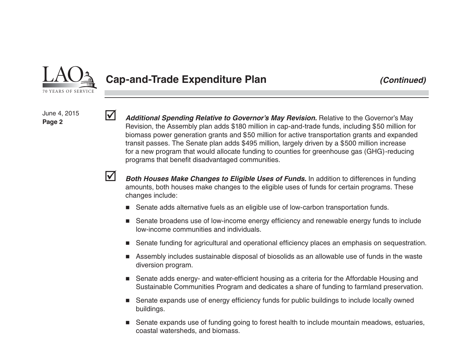

#### **Cap-and-Trade Expenditure Plan** *(Continued)*

June 4, 2015 **Page 2**

 *Additional Spending Relative to Governor's May Revision.* Relative to the Governor's May Revision, the Assembly plan adds \$180 million in cap-and-trade funds, including \$50 million for biomass power generation grants and \$50 million for active transportation grants and expanded transit passes. The Senate plan adds \$495 million, largely driven by a \$500 million increase for a new program that would allocate funding to counties for greenhouse gas (GHG)-reducing programs that benefit disadvantaged communities.

M

 $\blacktriangledown$ 

 *Both Houses Make Changes to Eligible Uses of Funds.* In addition to differences in funding amounts, both houses make changes to the eligible uses of funds for certain programs. These changes include:

- Senate adds alternative fuels as an eligible use of low-carbon transportation funds.
- Senate broadens use of low-income energy efficiency and renewable energy funds to include low-income communities and individuals.
- ш Senate funding for agricultural and operational efficiency places an emphasis on sequestration.
- Assembly includes sustainable disposal of biosolids as an allowable use of funds in the waste diversion program.
- Senate adds energy- and water-efficient housing as a criteria for the Affordable Housing and Sustainable Communities Program and dedicates a share of funding to farmland preservation.
- Senate expands use of energy efficiency funds for public buildings to include locally owned buildings.
- Senate expands use of funding going to forest health to include mountain meadows, estuaries, coastal watersheds, and biomass.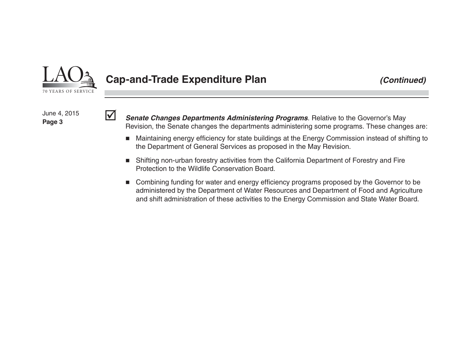

 $\overline{\mathsf{v}}$ 

### **Cap-and-Trade Expenditure Plan** *(Continued)*

June 4, 2015 **Page 3**

 *Senate Changes Departments Administering Programs*. Relative to the Governor's May Revision, the Senate changes the departments administering some programs. These changes are:

- Maintaining energy efficiency for state buildings at the Energy Commission instead of shifting to the Department of General Services as proposed in the May Revision.
- Shifting non-urban forestry activities from the California Department of Forestry and Fire Protection to the Wildlife Conservation Board.
- Combining funding for water and energy efficiency programs proposed by the Governor to be administered by the Department of Water Resources and Department of Food and Agriculture and shift administration of these activities to the Energy Commission and State Water Board.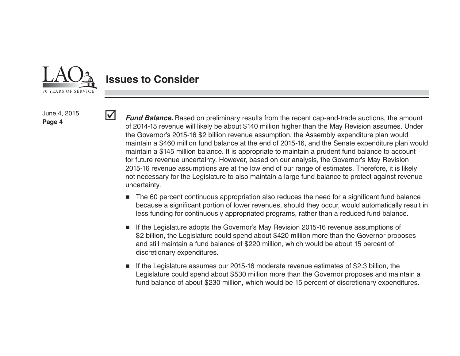

 $\blacktriangledown$ 

### **Issues to Consider**

June 4, 2015 **Page 4**

*Fund Balance.* Based on preliminary results from the recent cap-and-trade auctions, the amount of 2014-15 revenue will likely be about \$140 million higher than the May Revision assumes. Under the Governor's 2015-16 \$2 billion revenue assumption, the Assembly expenditure plan would maintain a \$460 million fund balance at the end of 2015-16, and the Senate expenditure plan would maintain a \$145 million balance. It is appropriate to maintain a prudent fund balance to account for future revenue uncertainty. However, based on our analysis, the Governor's May Revision 2015-16 revenue assumptions are at the low end of our range of estimates. Therefore, it is likely not necessary for the Legislature to also maintain a large fund balance to protect against revenue uncertainty.

- $\blacksquare$  The 60 percent continuous appropriation also reduces the need for a significant fund balance because a significant portion of lower revenues, should they occur, would automatically result in less funding for continuously appropriated programs, rather than a reduced fund balance.
- ٠ If the Legislature adopts the Governor's May Revision 2015-16 revenue assumptions of \$2 billion, the Legislature could spend about \$420 million more than the Governor proposes and still maintain a fund balance of \$220 million, which would be about 15 percent of discretionary expenditures.
- If the Legislature assumes our 2015-16 moderate revenue estimates of \$2.3 billion, the Legislature could spend about \$530 million more than the Governor proposes and maintain a fund balance of about \$230 million, which would be 15 percent of discretionary expenditures.